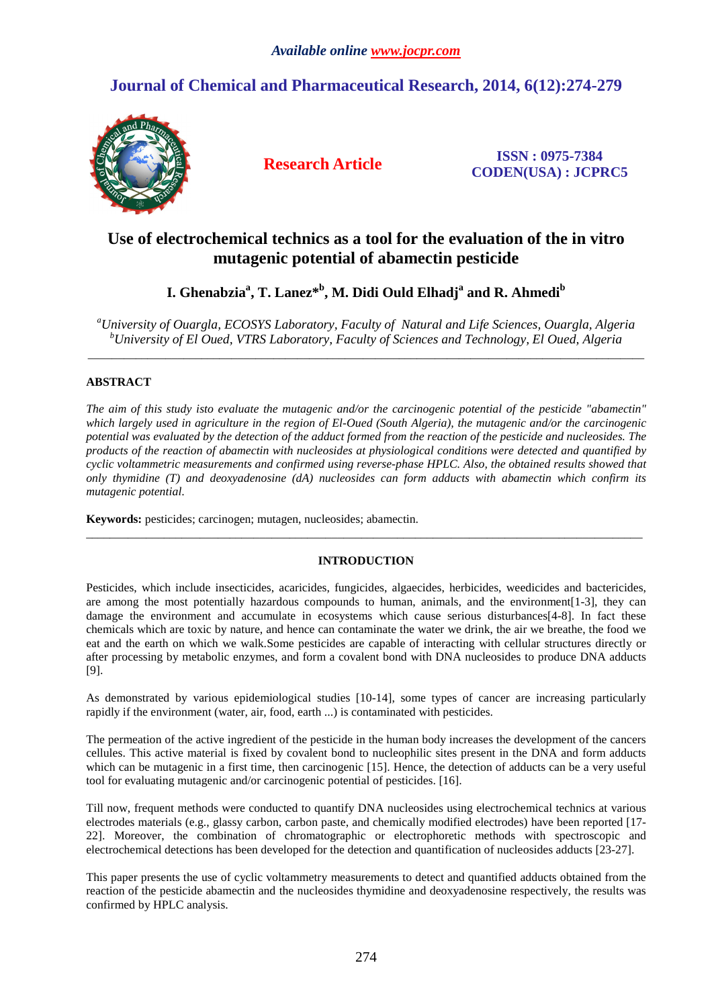# **Journal of Chemical and Pharmaceutical Research, 2014, 6(12):274-279**



**Research Article ISSN : 0975-7384 CODEN(USA) : JCPRC5**

# **Use of electrochemical technics as a tool for the evaluation of the in vitro mutagenic potential of abamectin pesticide**

**I. Ghenabzia<sup>a</sup> , T. Lanez\*<sup>b</sup> , M. Didi Ould Elhadj<sup>a</sup> and R. Ahmedi<sup>b</sup>**

*<sup>a</sup>University of Ouargla, ECOSYS Laboratory, Faculty of Natural and Life Sciences, Ouargla, Algeria <sup>b</sup>University of El Oued, VTRS Laboratory, Faculty of Sciences and Technology, El Oued, Algeria* \_\_\_\_\_\_\_\_\_\_\_\_\_\_\_\_\_\_\_\_\_\_\_\_\_\_\_\_\_\_\_\_\_\_\_\_\_\_\_\_\_\_\_\_\_\_\_\_\_\_\_\_\_\_\_\_\_\_\_\_\_\_\_\_\_\_\_\_\_\_\_\_\_\_\_\_\_\_\_\_\_\_\_\_\_\_\_\_\_\_\_\_\_

## **ABSTRACT**

*The aim of this study isto evaluate the mutagenic and/or the carcinogenic potential of the pesticide "abamectin" which largely used in agriculture in the region of El-Oued (South Algeria), the mutagenic and/or the carcinogenic potential was evaluated by the detection of the adduct formed from the reaction of the pesticide and nucleosides. The products of the reaction of abamectin with nucleosides at physiological conditions were detected and quantified by cyclic voltammetric measurements and confirmed using reverse-phase HPLC. Also, the obtained results showed that only thymidine (T) and deoxyadenosine (dA) nucleosides can form adducts with abamectin which confirm its mutagenic potential*.

**Keywords:** pesticides; carcinogen; mutagen, nucleosides; abamectin.

## **INTRODUCTION**

 $\overline{a}$  , and the contribution of the contribution of the contribution of the contribution of the contribution of the contribution of the contribution of the contribution of the contribution of the contribution of the co

Pesticides, which include insecticides, acaricides, fungicides, algaecides, herbicides, weedicides and bactericides, are among the most potentially hazardous compounds to human, animals, and the environment[1-3], they can damage the environment and accumulate in ecosystems which cause serious disturbances[4-8]. In fact these chemicals which are toxic by nature, and hence can contaminate the water we drink, the air we breathe, the food we eat and the earth on which we walk.Some pesticides are capable of interacting with cellular structures directly or after processing by metabolic enzymes, and form a covalent bond with DNA nucleosides to produce DNA adducts [9].

As demonstrated by various epidemiological studies [10-14], some types of cancer are increasing particularly rapidly if the environment (water, air, food, earth ...) is contaminated with pesticides.

The permeation of the active ingredient of the pesticide in the human body increases the development of the cancers cellules. This active material is fixed by covalent bond to nucleophilic sites present in the DNA and form adducts which can be mutagenic in a first time, then carcinogenic [15]. Hence, the detection of adducts can be a very useful tool for evaluating mutagenic and/or carcinogenic potential of pesticides. [16].

Till now, frequent methods were conducted to quantify DNA nucleosides using electrochemical technics at various electrodes materials (e.g., glassy carbon, carbon paste, and chemically modified electrodes) have been reported [17- 22]. Moreover, the combination of chromatographic or electrophoretic methods with spectroscopic and electrochemical detections has been developed for the detection and quantification of nucleosides adducts [23-27].

This paper presents the use of cyclic voltammetry measurements to detect and quantified adducts obtained from the reaction of the pesticide abamectin and the nucleosides thymidine and deoxyadenosine respectively, the results was confirmed by HPLC analysis.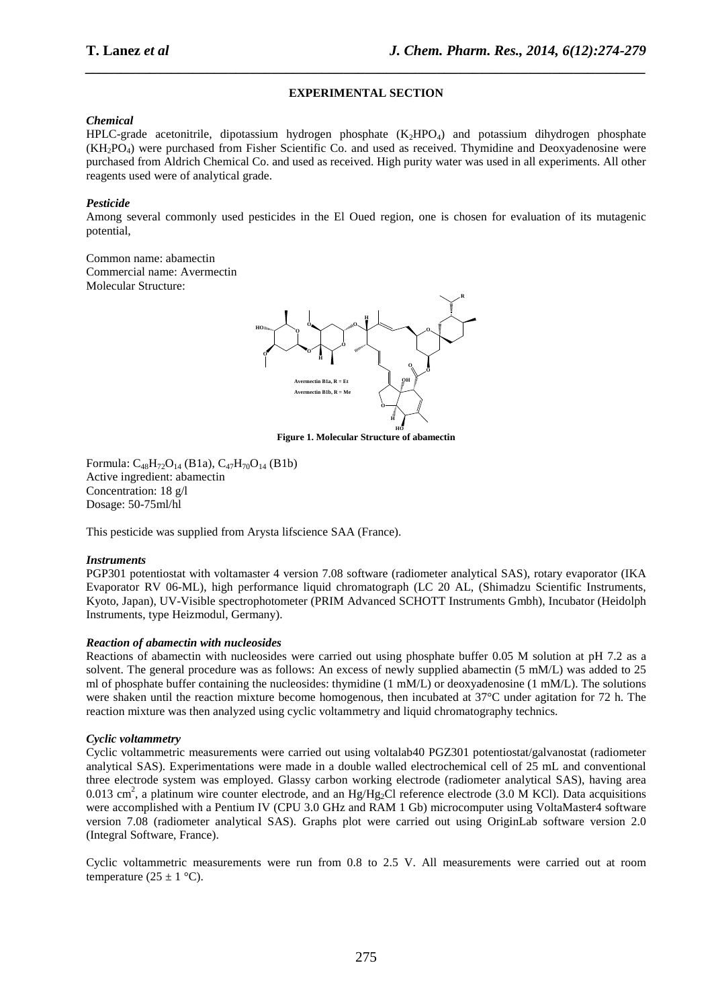## **EXPERIMENTAL SECTION**

*\_\_\_\_\_\_\_\_\_\_\_\_\_\_\_\_\_\_\_\_\_\_\_\_\_\_\_\_\_\_\_\_\_\_\_\_\_\_\_\_\_\_\_\_\_\_\_\_\_\_\_\_\_\_\_\_\_\_\_\_\_\_\_\_\_\_\_\_\_\_\_\_\_\_\_\_\_\_*

## *Chemical*

 $HPLC\text{-grade acetonitrile}$ , dipotassium hydrogen phosphate  $(K_2HPO_4)$  and potassium dihydrogen phosphate (KH2PO4) were purchased from Fisher Scientific Co. and used as received. Thymidine and Deoxyadenosine were purchased from Aldrich Chemical Co. and used as received. High purity water was used in all experiments. All other reagents used were of analytical grade.

## *Pesticide*

Among several commonly used pesticides in the El Oued region, one is chosen for evaluation of its mutagenic potential,

Common name: abamectin Commercial name: Avermectin Molecular Structure:



**HO Figure 1. Molecular Structure of abamectin** 

Formula:  $C_{48}H_{72}O_{14}$  (B1a),  $C_{47}H_{70}O_{14}$  (B1b) Active ingredient: abamectin Concentration: 18 g/l Dosage: 50-75ml/hl

This pesticide was supplied from Arysta lifscience SAA (France).

## *Instruments*

PGP301 potentiostat with voltamaster 4 version 7.08 software (radiometer analytical SAS), rotary evaporator (IKA Evaporator RV 06-ML), high performance liquid chromatograph (LC 20 AL, (Shimadzu Scientific Instruments, Kyoto, Japan), UV-Visible spectrophotometer (PRIM Advanced SCHOTT Instruments Gmbh), Incubator (Heidolph Instruments, type Heizmodul, Germany).

## *Reaction of abamectin with nucleosides*

Reactions of abamectin with nucleosides were carried out using phosphate buffer 0.05 M solution at pH 7.2 as a solvent. The general procedure was as follows: An excess of newly supplied abamectin (5 mM/L) was added to 25 ml of phosphate buffer containing the nucleosides: thymidine (1 mM/L) or deoxyadenosine (1 mM/L). The solutions were shaken until the reaction mixture become homogenous, then incubated at 37°C under agitation for 72 h. The reaction mixture was then analyzed using cyclic voltammetry and liquid chromatography technics.

## *Cyclic voltammetry*

Cyclic voltammetric measurements were carried out using voltalab40 PGZ301 potentiostat/galvanostat (radiometer analytical SAS). Experimentations were made in a double walled electrochemical cell of 25 mL and conventional three electrode system was employed. Glassy carbon working electrode (radiometer analytical SAS), having area 0.013 cm<sup>2</sup>, a platinum wire counter electrode, and an Hg/Hg<sub>2</sub>Cl reference electrode (3.0 M KCl). Data acquisitions were accomplished with a Pentium IV (CPU 3.0 GHz and RAM 1 Gb) microcomputer using VoltaMaster4 software version 7.08 (radiometer analytical SAS). Graphs plot were carried out using OriginLab software version 2.0 (Integral Software, France).

Cyclic voltammetric measurements were run from 0.8 to 2.5 V. All measurements were carried out at room temperature  $(25 \pm 1 \degree C)$ .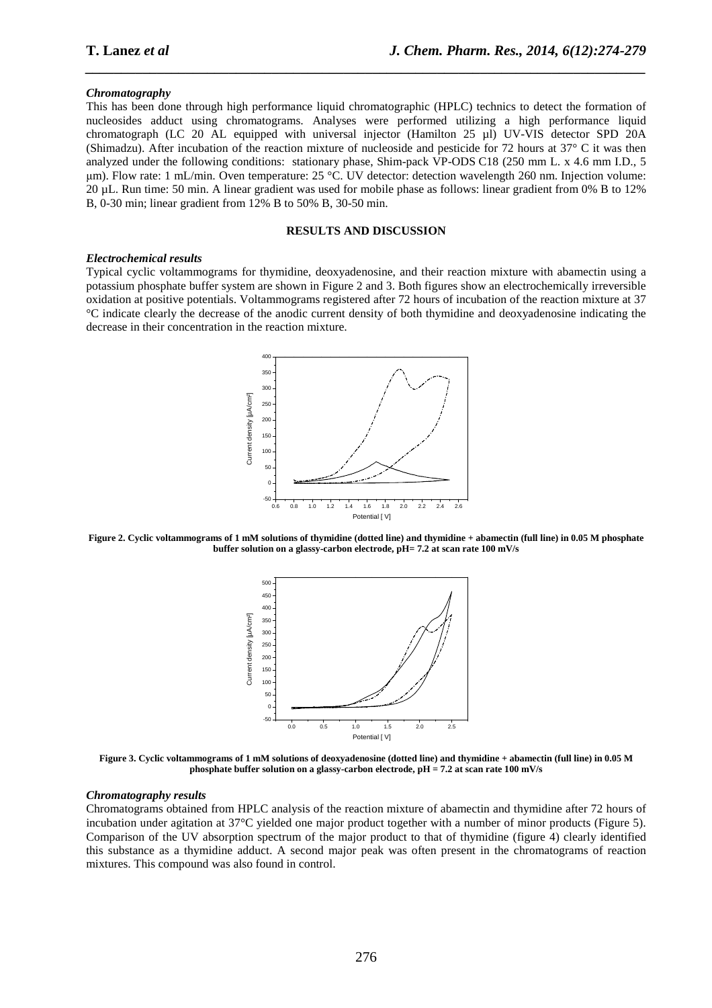#### *Chromatography*

This has been done through high performance liquid chromatographic (HPLC) technics to detect the formation of nucleosides adduct using chromatograms. Analyses were performed utilizing a high performance liquid chromatograph (LC 20 AL equipped with universal injector (Hamilton 25 µl) UV-VIS detector SPD 20A (Shimadzu). After incubation of the reaction mixture of nucleoside and pesticide for 72 hours at 37° C it was then analyzed under the following conditions: stationary phase, Shim-pack VP-ODS C18 (250 mm L. x 4.6 mm I.D., 5 µm). Flow rate: 1 mL/min. Oven temperature: 25 °C. UV detector: detection wavelength 260 nm. Injection volume: 20 µL. Run time: 50 min. A linear gradient was used for mobile phase as follows: linear gradient from 0% B to 12% B, 0-30 min; linear gradient from 12% B to 50% B, 30-50 min.

*\_\_\_\_\_\_\_\_\_\_\_\_\_\_\_\_\_\_\_\_\_\_\_\_\_\_\_\_\_\_\_\_\_\_\_\_\_\_\_\_\_\_\_\_\_\_\_\_\_\_\_\_\_\_\_\_\_\_\_\_\_\_\_\_\_\_\_\_\_\_\_\_\_\_\_\_\_\_*

#### **RESULTS AND DISCUSSION**

#### *Electrochemical results*

Typical cyclic voltammograms for thymidine, deoxyadenosine, and their reaction mixture with abamectin using a potassium phosphate buffer system are shown in Figure 2 and 3. Both figures show an electrochemically irreversible oxidation at positive potentials. Voltammograms registered after 72 hours of incubation of the reaction mixture at 37 °C indicate clearly the decrease of the anodic current density of both thymidine and deoxyadenosine indicating the decrease in their concentration in the reaction mixture.



**Figure 2. Cyclic voltammograms of 1 mM solutions of thymidine (dotted line) and thymidine + abamectin (full line) in 0.05 M phosphate buffer solution on a glassy-carbon electrode, pH= 7.2 at scan rate 100 mV/s** 



**Figure 3. Cyclic voltammograms of 1 mM solutions of deoxyadenosine (dotted line) and thymidine + abamectin (full line) in 0.05 M phosphate buffer solution on a glassy-carbon electrode, pH = 7.2 at scan rate 100 mV/s** 

#### *Chromatography results*

Chromatograms obtained from HPLC analysis of the reaction mixture of abamectin and thymidine after 72 hours of incubation under agitation at 37°C yielded one major product together with a number of minor products (Figure 5). Comparison of the UV absorption spectrum of the major product to that of thymidine (figure 4) clearly identified this substance as a thymidine adduct. A second major peak was often present in the chromatograms of reaction mixtures. This compound was also found in control.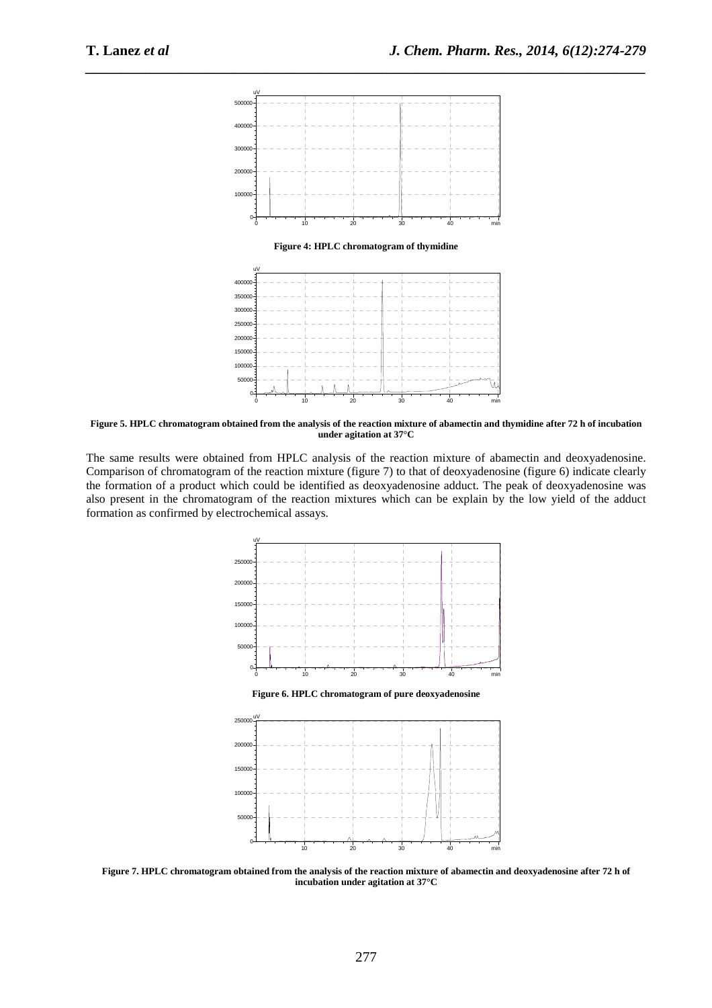

**Figure 5. HPLC chromatogram obtained from the analysis of the reaction mixture of abamectin and thymidine after 72 h of incubation under agitation at 37°C** 

The same results were obtained from HPLC analysis of the reaction mixture of abamectin and deoxyadenosine. Comparison of chromatogram of the reaction mixture (figure 7) to that of deoxyadenosine (figure 6) indicate clearly the formation of a product which could be identified as deoxyadenosine adduct. The peak of deoxyadenosine was also present in the chromatogram of the reaction mixtures which can be explain by the low yield of the adduct formation as confirmed by electrochemical assays.



**Figure 7. HPLC chromatogram obtained from the analysis of the reaction mixture of abamectin and deoxyadenosine after 72 h of incubation under agitation at 37°C**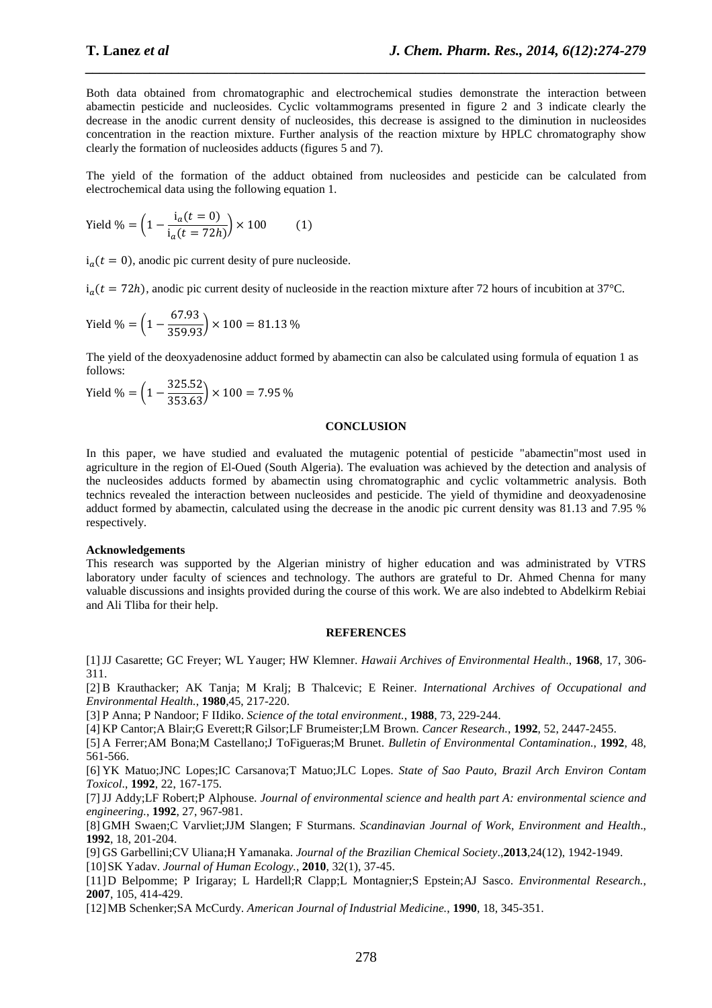Both data obtained from chromatographic and electrochemical studies demonstrate the interaction between abamectin pesticide and nucleosides. Cyclic voltammograms presented in figure 2 and 3 indicate clearly the decrease in the anodic current density of nucleosides, this decrease is assigned to the diminution in nucleosides concentration in the reaction mixture. Further analysis of the reaction mixture by HPLC chromatography show clearly the formation of nucleosides adducts (figures 5 and 7).

*\_\_\_\_\_\_\_\_\_\_\_\_\_\_\_\_\_\_\_\_\_\_\_\_\_\_\_\_\_\_\_\_\_\_\_\_\_\_\_\_\_\_\_\_\_\_\_\_\_\_\_\_\_\_\_\_\_\_\_\_\_\_\_\_\_\_\_\_\_\_\_\_\_\_\_\_\_\_*

The yield of the formation of the adduct obtained from nucleosides and pesticide can be calculated from electrochemical data using the following equation 1.

Yield % = 
$$
\left(1 - \frac{i_a(t=0)}{i_a(t=72h)}\right) \times 100
$$
 (1)

 $i_a(t = 0)$ , anodic pic current desity of pure nucleoside.

 $i_a(t = 72h)$ , anodic pic current desity of nucleoside in the reaction mixture after 72 hours of incubition at 37°C.

$$
Yield \% = \left(1 - \frac{67.93}{359.93}\right) \times 100 = 81.13 \%
$$

The yield of the deoxyadenosine adduct formed by abamectin can also be calculated using formula of equation 1 as follows:

$$
Yield % = \left(1 - \frac{325.52}{353.63}\right) \times 100 = 7.95 %
$$

#### **CONCLUSION**

In this paper, we have studied and evaluated the mutagenic potential of pesticide "abamectin"most used in agriculture in the region of El-Oued (South Algeria). The evaluation was achieved by the detection and analysis of the nucleosides adducts formed by abamectin using chromatographic and cyclic voltammetric analysis. Both technics revealed the interaction between nucleosides and pesticide. The yield of thymidine and deoxyadenosine adduct formed by abamectin, calculated using the decrease in the anodic pic current density was 81.13 and 7.95 % respectively.

#### **Acknowledgements**

This research was supported by the Algerian ministry of higher education and was administrated by VTRS laboratory under faculty of sciences and technology. The authors are grateful to Dr. Ahmed Chenna for many valuable discussions and insights provided during the course of this work. We are also indebted to Abdelkirm Rebiai and Ali Tliba for their help.

#### **REFERENCES**

[1] JJ Casarette; GC Freyer; WL Yauger; HW Klemner. *Hawaii Archives of Environmental Health*., **1968**, 17, 306- 311.

[2] B Krauthacker; AK Tanja; M Kralj; B Thalcevic; E Reiner. *International Archives of Occupational and Environmental Health.*, **1980**,45, 217-220.

[3] P Anna; P Nandoor; F IIdiko. *Science of the total environment.*, **1988**, 73, 229-244.

[4] KP Cantor;A Blair;G Everett;R Gilsor;LF Brumeister;LM Brown. *Cancer Research.*, **1992**, 52, 2447-2455.

[5] A Ferrer;AM Bona;M Castellano;J ToFigueras;M Brunet. *Bulletin of Environmental Contamination.*, **1992**, 48, 561-566.

[6] YK Matuo;JNC Lopes;IC Carsanova;T Matuo;JLC Lopes. *State of Sao Pauto, Brazil Arch Environ Contam Toxicol*., **1992**, 22, 167-175.

[7] JJ Addy;LF Robert;P Alphouse. *Journal of environmental science and health part A: environmental science and engineering.*, **1992**, 27, 967-981.

[8] GMH Swaen;C Varvliet;JJM Slangen; F Sturmans. *Scandinavian Journal of Work, Environment and Health*., **1992**, 18, 201-204.

[9] GS Garbellini;CV Uliana;H Yamanaka. *Journal of the Brazilian Chemical Society*.,**2013**,24(12), 1942-1949.

[10] SK Yadav. *Journal of Human Ecology.*, **2010**, 32(1), 37-45.

[11] D Belpomme; P Irigaray; L Hardell;R Clapp;L Montagnier;S Epstein;AJ Sasco. *Environmental Research.*, **2007**, 105, 414-429.

[12] MB Schenker;SA McCurdy. *American Journal of Industrial Medicine.*, **1990**, 18, 345-351.